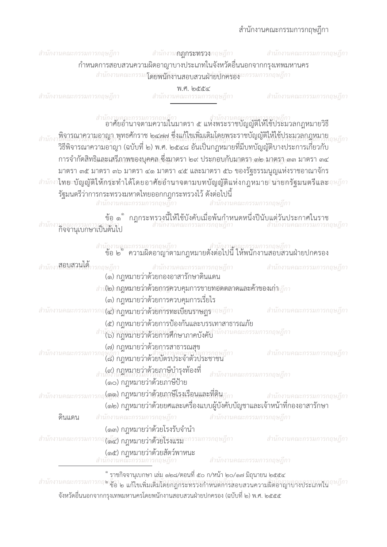## สำนักงานคณะกรรมการกฤษฎีกา



| ้ ข้อ ๒ ຶ ความผิดอาญาตามกฎหมายดังต่อไปนี้ ให้พนักงานสอบสวนฝ่ายปกครอง |                                                                                                                                                           |                             |                              |  |
|----------------------------------------------------------------------|-----------------------------------------------------------------------------------------------------------------------------------------------------------|-----------------------------|------------------------------|--|
| <sub>สำนักงา</sub> <b>สอบสานใต้</b> การกฤษฎีกา                       | ษฎีกา<br>(๑) กฎหมายว่าด้วยกองอาสารักษาดินแดน                                                                                                              |                             | ี่ สำนักงานคณะกรรมการกฤษฎีกา |  |
| สำเงีย) กฎหมายว่าด้วยการควบคุมการขายทอดตลาดและค้าของเก่า ฎีกา        |                                                                                                                                                           |                             |                              |  |
|                                                                      | (๓) กฎหมายว่าด้วยการควบคุมการเรี่ยไร                                                                                                                      |                             |                              |  |
| สำนักงานคณะกรร                                                       | (๔) กฎหมายว่าด้วยการทะเบียนราษฎรากษฎีกา                                                                                                                   |                             | สำนักงานคณะกรรมการกฤษฎีกา    |  |
|                                                                      | (๕) กฎหมายว่าด้วยการป้องกันและบรรเทาสาธารณภัย                                                                                                             |                             |                              |  |
|                                                                      | สำนักงาน ก <b>ฎหมายว่าด้วยการศึกษาภาคบังคับ</b> นักงานคณะกรรมการกฤษฎีกา                                                                                   |                             |                              |  |
|                                                                      | (๗) กฎหมายว่าด้วยการสาธารณสุข<br>พฏิกา<br>(๘) กฎหมายว่าด้วยบัตรประจำตัวประชาชน                                                                            |                             | สำนักงานคณะกรรมการกฤษฎีกา    |  |
|                                                                      | <sub>สำ</sub> (๙) กฎหมายว่าด้วยภาษีบำรุงท้องที่<br>(๑๐) กฎหมายว่าด้วยภาษีป้าย                                                                             | ี สำนักงานคณะกรรมการกฤษฎีกา |                              |  |
|                                                                      | (๑๑) กฎหมายว่าด้วยภาษีโรงเรือนและที่ดิน                                                                                                                   |                             |                              |  |
|                                                                      | (๑๑) กฎหมายวาดวยภาษเรงเรอนและทิดิน <sub>ฎีกา</sub> สำนักงานคณะกรรมการกฤษฎีกา<br>(๑๒) กฎหมายว่าด้วยยศและเครื่องแบบผู้บังคับบัญชาและเจ้าหน้าที่กองอาสารักษา |                             |                              |  |
| ดินแดน                                                               | สำนักงานคณะกรรมการกฤษฎีกา                                                                                                                                 | สำนักงานคณะกรรมการกฤษฎีกา   |                              |  |
|                                                                      | (๑๓) กฎหมายว่าด้วยโรงรับจำนำ                                                                                                                              |                             |                              |  |
|                                                                      | (๑๊๕) กฎหมายว่าด้วยโรงแรมะกรรมการกฤษฎีกา                                                                                                                  |                             | สำนักงานคณะกรรมการกฤษฎีกา    |  |
|                                                                      | (๑๕) กฎหมายว่าด้วยสัตว์พาหนะ<br>านคณะกรรมการกถษภิกา                                                                                                       | สำนักงานคณะกรรมการกฤษฎีกา   |                              |  |

ຶ ราชกิจจานุเบกษา เล่ม ๑๒๘/ตอนที่ ๕๐ ก/หน้า ๒๐/๑๗ มิถุนายน ๒๕๕๔

สำนักงานคณะกรรมการกฤษ มีว่า<br>- แล้ว เพื่อการการที่เป็น แก้ไขเพิ่มเติมโดยกฎกระทรวงกำหนดการสอบสวนความผิดอาญาบางประเภทใน จังหวัดอื่นนอกจากกรุงเทพมหานครโดยพนักงานสอบสวนฝ่ายปกครอง (ฉบับที่ ๒) พ.ศ. ๒๕๕๕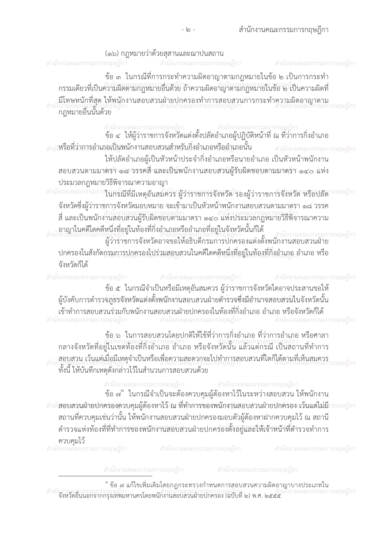| (๑๖) กฎหมายว่าด้วยสุสานและฌาปนสถาน                                                                                                                                                                                                                                                                                                                                                                                                                                               |
|----------------------------------------------------------------------------------------------------------------------------------------------------------------------------------------------------------------------------------------------------------------------------------------------------------------------------------------------------------------------------------------------------------------------------------------------------------------------------------|
| สำนักงานคณะกรรมการกฤษฎีกา<br>สำนักงานคณะกรรมการกฤษฎีกา<br>รกฤษฎีกา<br>สำนักงานคณะกรรมก                                                                                                                                                                                                                                                                                                                                                                                           |
| ข้อ ๓  ในกรณีที่การกระทำความผิดอาญาตามกฎหมายในข้อ ๒ เป็นการกระทำ<br>้กรรมเดียวที่เป็นความผิดตามกฎหมายอื่นด้วย ถ้าความผิดอาญาตามกฎหมายในข้อ ๒ เป็นความผิดที่                                                                                                                                                                                                                                                                                                                      |
| .มีโทษหนักที่สุด ให้พนักงานสอบสวนฝ่ายปกครองทำการสอบสวนการกระทำความผิดอาญาตาม<br>กงานคณะกรรมารุกฤษฎีกา<br>กฎหมายอื่นนั้นด้วย                                                                                                                                                                                                                                                                                                                                                      |
| สำนักงานคณะกรรมการกฤษฎีกา<br>ข้อ ๔  ให้ผู้ว่าราชการจังหวัดแต่งตั้งปลัดอำเภอผู้ปฏิบัติหน้าที่ ณ ที่ว่าการกิ่งอำเภอ                                                                                                                                                                                                                                                                                                                                                                |
| หรือที่ว่าการอำเภอเป็นพนักงานสอบสวนสำหรับกิ่งอำเภอหรืออำเภอนั้น<br>สำนักงานคณะกรรมการกฤษฎีกา                                                                                                                                                                                                                                                                                                                                                                                     |
| ให้ปลัดอำเภอผู้เป็นหัวหน้าประจำกิ่งอำเภอหรือนายอำเภอ เป็นหัวหน้าพนักงาน                                                                                                                                                                                                                                                                                                                                                                                                          |
| สอบสวนตามมาตรา ๑๘ วรรคสี่ และเป็นพนักงานสอบสวนผู้รับผิดชอบตามมาตรา ๑๔๐ แห่ง                                                                                                                                                                                                                                                                                                                                                                                                      |
| ประมวลกฎหมายวิธีพิจารณาความอาญา                                                                                                                                                                                                                                                                                                                                                                                                                                                  |
| สำนักงานคณะกรรมการ <b>ในกรีณีที่มีเหตุอันสมควร ผู้ว่าราชการจังหวัด</b> รองผู้ว่าราชการจังหวัด หรือปลัดวรกฤษฎีกา                                                                                                                                                                                                                                                                                                                                                                  |
| ้จังหวัดซึ่งผู้ว่าราชการจังหวัดมอบหมาย จะเข้ามาเป็นหัวหน้าพนักงานสอบสวนตามมาตรา ๑๘ วรรค                                                                                                                                                                                                                                                                                                                                                                                          |
| ีสี่ และเป็นพนักงานสอบสวนผู้รับผิดชอบตามมาตรา ๑๔๐ แห่งประมวลกฎหมายวิธีพิจารณาความ                                                                                                                                                                                                                                                                                                                                                                                                |
| อาญาในคดีใดคดีหนึ่งที่อยู่ในท้องที่กิ่งอำเภอหรืออำเภอที่อยู่ในจังหวัดนั้นก็ได้<br>เงานัคณะกรรมการทุกบุญกา<br>ผู้ว่าราชการจังหวัดอาจขอให้อธิบดีกรมการปกครองแต่งตั้งพนักงานสอบสวนฝ่าย                                                                                                                                                                                                                                                                                              |
| ปกครองในสังกัดกรมการปกครองไปร่วมสอบสวนในคดีใดคดีหนึ่งที่อยู่ในท้องที่กิ่งอำเภอ อำเภอ หรือ<br>จังหวัดก็ได้                                                                                                                                                                                                                                                                                                                                                                        |
| สำนักงานคณะกรรมการกฤษฎีกา สำนักงานคณะกรรมการกฤษฎีกา<br>สำนักงานคณะกรรมการกฤษฎีกา                                                                                                                                                                                                                                                                                                                                                                                                 |
| ี ข้อ ๕ ในกรณีจำเป็นหรือมีเหตุอันสมควร ผู้ว่าราชการจังหวัดใดอาจประสานขอให้                                                                                                                                                                                                                                                                                                                                                                                                       |
| ผู้บังคับการตำรวจภูธรจังหวัดแต่งตั้งพนักงานสอบสวนฝ่ายตำรวจซึ่งมีอำนาจสอบสวนในจังหวัดนั้น                                                                                                                                                                                                                                                                                                                                                                                         |
| เข้าทำการสอบสวนร่วมกับพนักงานสอบสวนฝ่ายปกครองในท้องที่กิ่งอำเภอ อำเภอ หรือจังหวัดก็ได้                                                                                                                                                                                                                                                                                                                                                                                           |
| ี่ สำนักงานคณะกรรมการกฤษฎีกา<br>งานคณะกรรมการกฤษฎีกา<br>นคณะกรรมการกฤษฎีกา                                                                                                                                                                                                                                                                                                                                                                                                       |
| ข้อ ๖ ในการสอบสวนโดยปกติให้ใช้ที่ว่าการกิ่งอำเภอ ที่ว่าการอำเภอ หรือศาลา<br>กลางจังหวัดที่อยู่ในเขตท้องที่กิ่งอำเภอ อำเภอ หรือจังหวัดนั้น แล้วแตกรุณกรุณขฏิกา<br>กลางจังหวัดที่อยู่ในเขตท้องที่กิ่งอำเภอ อำเภอ หรือจังหวัดนั้น แล้ว<br>สอบสวน เว้นแต่เมื่อมีเหตุจำเป็นหรือเพื่อความสะดวกจะไปทำการสอบสวนที่ใดก็ได้ตามที่เห็นสมควร<br>ก็ผู้บรรมการที่กลับการและเป็นหรือเพื่อนการเสียงกรรมการกฤษฎีกา<br>กมานคณะกรรมการกฤษฎก<br>ทั้งนี้ ให้บันทึกเหตุดังกล่าวไว้ในสำนวนการสอบสวนด้วย |
| สำนักงานคณะกรรมการกฤษฎีกา<br>สำนักงานคณะกรรมการกฤษฎีกา<br>้ข้อ ๗ ในกรณีจำเป็นจะต้องควบคุมผู้ต้องหาไว้ในระหว่างสอบสวน ให้พนักงาน                                                                                                                                                                                                                                                                                                                                                  |

สำนักสอบสวนฝ่ายปกครองควบคุมผู้ต้องหาไว้ ัณ ที่ทำการของพนักงานสอบสวนฝ่ายปกคัรอง เว้นแต่ไม่มีวกฤษฎีกา<br>สถานที่ควบคุมเช่นว่านั้น ให้พนักงานสอบสวนฝ่ายปกครองมอบตัวผู้ต้องหาฝากควบคุมไว้ ณ สถานี<br>ตำรวจแห่งท้องที่ที่ทำการของพนักงาน

**ควบคุมไว้**<br>สำนักงานคณะกรรมการกฤษฎีกา

สำนักงานคณะกรรมการกฤษฎีกา

สำนักงานคณะกรรมการกฤษฎีกา

สำนักงานคณะกรรมการกฤษฎีกา

สำนักงานคณะกรรมการกฤษฎีกา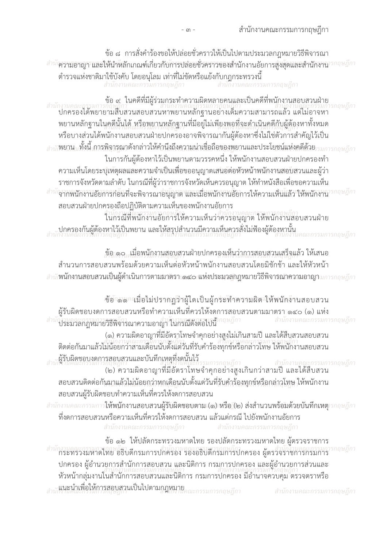ข้อ ๘ การสั่งคำร้องขอให้ปล่อยชั่วคราวให้เป็นไปตามประมวลกฎหมายวิธีพิจารณา สำนักวามอาญา และให้นำหลักเกณฑ์เกี่ยวกับการปล่อยชั่วคราวของสำนักงานอัยการสูงสุดและสำนักงานารกฤษฎีกา ้ตำรวจแห่งชาติมาใช้บังคับ โดยอนุโลม เท่าที่ไม่ขัดหรือแย้งกับกฎกระทรวงนี้<br>สำนักงานคณะกรรมการกฤษฎีกา

สำนักงานคณะกรรมการกฤษฎีกา

ข้อ ๙ ในคดีที่มีผู้ร่วมกระทำความผิดหลายคนและเป็นคดีที่พนักงานสอบสวนฝ่าย รกถษภีกา ุ พยานหลักฐานในคดีนั้นได้ หรือพยานหลักฐานที่มีอยู่ไม่เพียงพอที่จะดำเนินคดีกับผู้ต้องหาทั้งหมด หรือบางส่วนได้พนักงานสอบสวนฝ่ายปกครองอาจพิจารณากันผู้ต้องหาซึ่งไม่ใช่ตัวการสำคัญไว้เป็น <sub>สำนั</sub>พยาน<sub>น</sub>ทั้งนี้ การพิจารณาดังกล่าวให้คำนึงถึงความน่าเชื่อถือของพยานและประโยชน์แห่งคดีด้วย<sub>รรมการกฤษภีกา</sub> ในการกันผู้ต้องหาไว้เป็นพยานตามวรรคหนึ่ง ให้พนักงานสอบสวนฝ่ายปกครองทำ ้ ความเห็นโดยระบุเหตุผลและความจำเป็นเพื่อขออนุญาตเสนอต่อหัวหน้าพนักงานสอบสวนและผู้ว่า ี ราชการจังหวัดตามลำดับ ในกรณีที่ผู้ว่าราชการจังหวัดเห็นควรอนุญาต ให้ทำหนังสือเพื่อขอความเห็น กฤษฎีกา ี<sup>สำนัก</sup>จากพนักงานอัยการก่อื่นที่จะพิจารณาอนุญาต และเมื่อพนักงานอัยการให้ความเห็นแล้ว ให้พนักงาน สอบสวนฝ่ายปกครองถือปฏิบัติตามความเห็นของพนักงานอัยการ

้านกรณีที่พนักงานอัยการให้ความเห็นว่าควรอนญาต ให้พนักงานสอบสวนฝ่าย ่<br>แบบการองกันผู้ต้องหาไว้เป็นพยาน และให้สรุปสำนวนมีความเห็นควรสั่งไม่ฟ้องผู้ต้องหานั้น รรมการกถษภีกา

ู้ข้อ ๑๐ ..เมื่อพนักงานสอบสวนฝ่ายปกครองเห็นว่าการสอบสวนเสร็จแล้ว ให้เสนอ ้สำนวนการสอบสวนพร้อมด้วยความเห็นต่อหัวหน้าพนักงานสอบสวนโดยมิชักช้า และให้หัวหน้า สำนัก**พนักงานสอบสวนเป็นผู้ดำเนินการตามมาตรา ๑๔๐ แห่งประมวลกฎหมายวิธีพิจารณาความอาญา**มการกฤษฎีกา

ช้อาลลากมื่อไม่ปรากฏว่าผู้ใดเป็นผู้กระทำความผิด ให้พนักงานสอบสวน ผู้รับผิดชอบงดการสอบสวนหรือทำความเห็นที่ควรให้งดการสอบสวนตามมาตรา ๑๔๐ (๑) แห่ง สำนักงานถูกลูกฎหมายวิธีพิจารณาความอาญา ในกรณีดังต่อไปนี้<sup>ำกฤษฎีกา</sup> สำนักงานคณะกรรมการกฤษฎีกา

(๑) ความผิดอาญาที่มีอัตราโทษจำคุกอย่างสูงไม่เกินสามปี และได้สืบสวนสอบสวน ติดต่อกันมาแล้วไม่น้อยกว่าสามเดือนนับตั้งแต่วันที่รับคำร้องทุกข์หรือกล่าวโทษ ให้พนักงานสอบสวน .<br>สานใจ้านคิดชอบงดการสอบสวนและบันทึกเหตุที่งดนั้นไว้

เรสอบสวนและบนทกเหตุทงดนนโว<br>ภักษฎกา<br>(๒) ความผิดอาญาที่มีอัตราโทษจำคุกอย่างสูงเกินกว่าสามปี และได้สืบสวน ี สอบสวนติดต่อกันมาแล้วไม่น้อยกว่าหกเดือนนับตั้งแต่วันที่รับคำร้องทุกข์หรือกล่าวโทษ ให้พนักงาน สอบสวนผู้รับผิดชอบทำความเห็นที่ควรให้งดการสอบสวน

สำนักงานคณะกรรมการ**ให้พนักงานสอบสวนผู้รับผิดชอบตาม (๑) หรือ (๒) ส่งสำนวนพร้อมด้วยบันทึกเหตุ**ารกฤษฎีกา ู้ที่งดการสอบสวนหรือความเห็นที่ควรให้งดการสอบสวน แล้วแต่กรณี ไปยังพนักงานอัยการ สำนักงานคณะกรรมการกฤษฎีกา ี่ สำนักงานคณะกรรมการกฤษฎีกา

ข้อ ๑๒ ให้ปลัดกระทรวงมหาดไทย รองปลัดกระทรวงมหาดไทย ผู้ตรวจราชการ กฤษฎีกา ้กระทรวงมหาดไทย อธิบดีกรมการปกครอง รองอธิบดีกรมการปกครอง ผู้ตรวจราชการกรมการ ปกครอง ผู้อำนวยการสำนักการสอบสวน และนิติการ กรมการปกครอง และผู้อำนวยการส่วนและ ้หัวหน้ากลุ่มงานในสำนักการสอบสวนและนิติการ กรมการปกครอง มีอำนาจควบคุม ตรวจตราหรือ **แนะนำเพื่อให้การสอบสวนเป็นไปตามกฎหมาย** สำนักงานคณะกรรมการกฤษฎีกา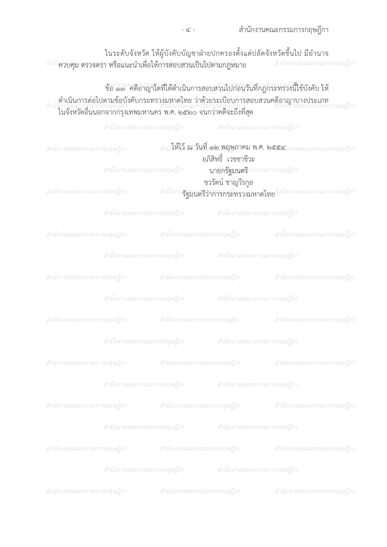|  | ี สำนักงานคณะกรรมการกฤษฎีกา |
|--|-----------------------------|

| ในระดับจังหวัด ให้ผู้บังคับบัญชาฝ่ายปกครองตั้งแต่ปลัดจังหวัดขึ้นไป มีอำนาจ                         |                         |
|----------------------------------------------------------------------------------------------------|-------------------------|
| <sup>ำมั</sup> ควบคุม ตรวจตรา <sup>ก</sup> หรือแนะนำเพื่อให้การสอบสวนเป็นไปตามกฎห <sup>ั</sup> มาย | ิสานกงานคณะกรรมการกฤษฎก |

## *จำกานคุณการมู*ก สามาเกิด<br>ขอ ๑๓ คดีอาญาใดที่ได้ดำเนินการสอบสวนไปก่อนวันที่กฎกระทรวงนี้ใช้บังคับ ให้ ดำเนินการต่อไปตามข้อบังคับกระทรวงมหาดไทย ว่าด้วยระเบียบการสอบสวนคดีอาญาบางประเภท<br>สำนักงานคณะกรรมการกฤษฎักา<br>ในจังหวัดอื่นนอกจากกรุงเทพมหานคร พ.ศ. ๒๕๒๐ จนกว่าคดีจะถึงที่สุด

|                           |                           | ี่สำนักงานคณะกรรมการกฤษฎีกา สำนักงานคณะกรรมการกฤษฎีกา |                                                            |                                                                                 |
|---------------------------|---------------------------|-------------------------------------------------------|------------------------------------------------------------|---------------------------------------------------------------------------------|
| สำนักงานคณะกรรมการกฤษฎีกา |                           |                                                       | อภิสิทธิ์ เวชชาชีวะ                                        | สำนักให้ไว้ ณ วันที่ ๑๒ พฤษภาคม พ.ศ. ๒๕๕๔กงานคณะกรรมการกฤษฎีกา                  |
|                           | สำนักงานคณะกรรมการกฤษฎีกา |                                                       | นายักรัฐมนตรี <i>แะกรรมการกฤษฎีกา</i><br>ชวรัตน์ ชาญวีรกูล |                                                                                 |
| สำนักงานคณะกรรมการกฤษฎีกา |                           |                                                       |                                                            | สำนักงาน <b>รัฐมนตรีว่าการกระที่กรวงมหาดไทย</b> สำนักงานคณะกรรมการกฤษฎีกา       |
|                           |                           | ี่สำนักงานคณะกรรมการกฤษฎีกา สำนักงานคณะกรรมการกฤษฎีกา |                                                            |                                                                                 |
|                           |                           |                                                       |                                                            | ี่สำนักงานคณะกรรมการกฤษฎีกา สำนักงานคณะกรรมการกฤษฎีกา สำนักงานคณะกรรมการกฤษฎีกา |
|                           |                           | สำนักงานคณะกรรมการกฤษฎีกา สำนักงานคณะกรรมการกฤษฎีกา   |                                                            |                                                                                 |
|                           |                           |                                                       |                                                            | สำนักงานคณะกรรมการกฤษฎีกา สำนักงานคณะกรรมการกฤษฎีกา สำนักงานคณะกรรมการกฤษฎีกา   |
|                           |                           | สำนักงานคณะกรรมการกฤษฎีกา สำนักงานคณะกรรมการกฤษฎีกา   |                                                            |                                                                                 |
|                           |                           |                                                       |                                                            | สำนักงานคณะกรรมการกฤษฎีกา สำนักงานคณะกรรมการกฤษฎีกา สำนักงานคณะกรรมการกฤษฎีกา   |
|                           |                           | สำนักงานคณะกรรมการกฤษฎีกา สำนักงานคณะกรรมการกฤษฎีกา   |                                                            |                                                                                 |
|                           |                           |                                                       |                                                            | ี่สำนักงานคณะกรรมการกฤษฎีกา สำนักงานคณะกรรมการกฤษฎีกา สำนักงานคณะกรรมการกฤษฎีกา |
|                           |                           | สำนักงานคณะกรรมการกฤษฎีกา สำนักงานคณะกรรมการกฤษฎีกา   |                                                            |                                                                                 |
| สำนักงานคณะกรรมการกฤษฎีกา |                           | สำนักงานคณะกรรมการกฤษฎีกา                             |                                                            | สำนักงานคณะกรรมการกฤษฎีกา                                                       |
|                           | สำนักงานคณะกรรมการกฤษฎีกา |                                                       | สำนักงานคณะกรรมการกฤษฎีกา                                  |                                                                                 |
| สำนักงานคณะกรรมการกฤษฎีกา |                           | สำนักงานคณะกรรมการกฤษฎีกา                             |                                                            | สำนักงานคณะกรรมการกฤษฎีกา                                                       |
|                           | สำนักงานคณะกรรมการกฤษฎีกา |                                                       | สำนักงานคณะกรรมการกฤษฎีกา                                  |                                                                                 |
| สำนักงานคณะกรรมการกฤษฎีกา |                           | สำนักงานคณะกรรมการกฤษฎีกา                             |                                                            | สำนักงานคณะกรรมการกฤษฎีกา                                                       |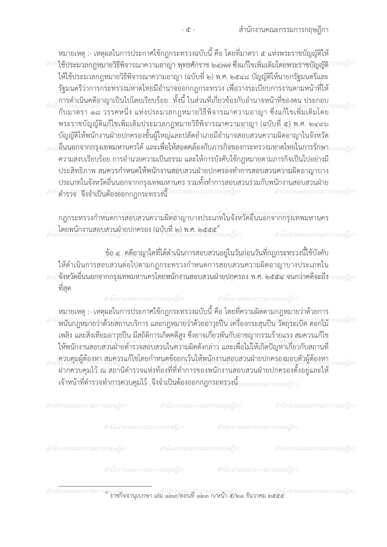่ หมายเหตุ :- เหตุผลในการประกาศใช้กฎกระทรวงฉบับนี้ คือ โดยที่มาตรา ๕ แห่งพระราชบัญญัติให้ <sup>สำนั</sup>1ช้ประมวลกฎหมายวิธีพิจารณาความอาญา พุทธศักราช ๒๔๗๗ ซึ่งแก้ไขเพิ่มเติมโดยพระราชบัญญัติ<sup>ก</sup> กฤษฎีกา ให้ใช้ประมวลกฎหมายวิธีพิจารณาความอาญา (ฉบับที่ ๒) พ.ศ. ๒๕๔๘ บัญญัติให้นายกรัฐมนตรีและ ้รัฐมนตรีว่าการกระทรวงมหาดไทยมีอำนาจออกกฎกระทรวง เพื่อวางระเบียบการงานตามหน้าที่ให้ ุการดำเนินคดีอาญาเป็นไปโดยเรียบร้อย.. ทั้งนี้ ในส่วนที่เกี่ยวข้องกับอำนาจหน้าที่ของตน ประกอบ ้กับมาตรา ๑๘ วรรคหนึ่ง แห่งประมวลกฎหมายวิธีพิจารณาความอาญา ซึ่งแก้ไขเพิ่มเติมโดย พระราชบัญญัติแก้ไขเพิ่มเติมประมวลกฎหมายวิธีพิจารณาความอาญา (ฉบับที่ ๕) พ.ศ. ๒๔๙๖ ้บัญญัติให้พนักงานฝ่ายปกครองชั้นผู้ใหญ่และปลัดอำเภอมีอำนาจสอบสวนความผิดอาญาในจังหวัด  $\frac{1}{6}$ านักอื่นนอกจากกรุงเทพมหานครได้ และเพื่อให้สอดคล้องกับภารกิจของกระทรวงมหาดไทยในการรักษา $\frac{1}{5}$ กากษฎีกา ความสงบเรียบร้อย การอำนวยความเป็นธรรม และให้การบังคับใช้กฎหมายตามภารกิจเป็นไปอย่างมี ประสิทธิภาพ สมควัรกำหนดให้พนักงานสอบสวนฝ่ายปกครอังทำการสอบสวนความผิดอาญาบาง ี ประเภทในจังหวัดอื่นนอกจากกรุงเทพมหานคร รวมทั้งทำการสอบสวนร่วมกับพนักงานสอบสวนฝ่าย สำนักงานจนะจึงจำเป็นต้องอ๊อกกฎกระทรวงนี้นักงานคณะกรรมการกฤษฎีกา สำนักงานคณะกรรมการกฤษฎีกา

ิกฎกระทรวงกำหนดการสอบสวนความผิดอาญาบางประเภทในจังหวัดอื่นนอกจากกรุงเทพมหานคร ้าง<br>โดยพนักงานสอบสวนฝ่ายปกครอง (ฉบับที่ ๒) พ.ศ. ๒๕๕๕ ้ สำนักงานคณะกรรมการกฤษฎีกา

ู ข้อ ๔ , คดีอาญาใดที่ได้ดำเนินการสอบสวนอยู่ในวันก่อนวันที่กฎกระทรวงนี้ใช้บังคับ ให้ดำเนินการสอบสวนต่อไปตามกฎกระทรวงกำหนดการสอบสวนความผิดอาญาบางประเภทใน .สำนักงิ่งหวัดอื่นนอกจากกรุงเทพมหานครโดยพนักงานสอบสวนฝ่ายปกครอง พ.ศ. ๒๕๕๔/จนกว่าคดีจะถึง*ารกฤษฎีกา* ที่สด

สำนักงานคณะกรรมการกฤษฎีกา

ี่ สำนักงานคณะกรรมการกฤษฎีกา

หมายเหตุ :- เหตุผลในการประกาศใช้กฎกระทรวงฉบับนี้ คือ โดยที่ความผิดตามกฎหมายว่าด้วยการ สำนักงานกฎหมายว่าด้วยสถานบริการ และกฎหมายว่าด้วยอาวุธปืน เครื่องกระสุนปืน วัตถุระเบิด ดอกไม้ ้เพลิง และสิ่งเทียมอาวุธปืน มีสถิติการเกิดคดีสูง ซึ่งอาจเกี่ยวพันกับอาชญากรรมร้ายแรง สมควรแก้ไข ให้พนักงานสอบสวนฝ่ายตำรวจสอบสวนในความผิดดังกล่าว และเพื่อไม่ให้เกิดปัญหาเกี่ยวกับสถานที่ <u>.ควบคุมผู้ต้องหา สมควรแก้ไขโดยกำหนดข้อยกเว้นให้พนักงานสอบสวนฝ่ายปกครองมอบตัวผู้ต้องหา</u> ถษภีกา ้ ฝากควบคุมไว้ ณ สถานีตำรวจแห่งท้องที่ที่ทำการของพนักงานสอบสวนฝ่ายปกครองตั้งอยู่และให้ เจ้าหน้าที่ตำรวจทำการควบคุมไว้, จึงจำเป็นต้องออกกฎกระทรวงนี้<sub>แคณะกรรมการกถษภีกา</sub>

| ิ สำนักงานคณะกรรมการกฤษฎีกา                 สำนักงานคณะกรรมการกฤษฎีกา                 สำนักงานคณะกรรมการกฤษฎีกา |                                                                           |  |
|-----------------------------------------------------------------------------------------------------------------|---------------------------------------------------------------------------|--|
|                                                                                                                 | ี สำนักงานคณะกรรมการกฤษฎีกา                     สำนักงานคณะกรรมการกฤษฎีกา |  |
| ี สำนักงานคณะกรรมการกฤษฎีกา   สำนักงานคณะกรรมการกฤษฎีกา   สำนักงานคณะกรรมการกฤษฎีกา                             |                                                                           |  |

สำนักงานคณะกรรมการกฤษฎีกา

สำนักงานคณะกรรมการกฤษฎีกา

กษฎีกา<br>ราชกิจจานุเบกษา เล่ม ๑๒๙/ตอนที่ ๑๒๓ ก/หน้า ๕/๒๑ ธันวาคม ๒๕๕๕ สำนักงานคณะกรรมการล